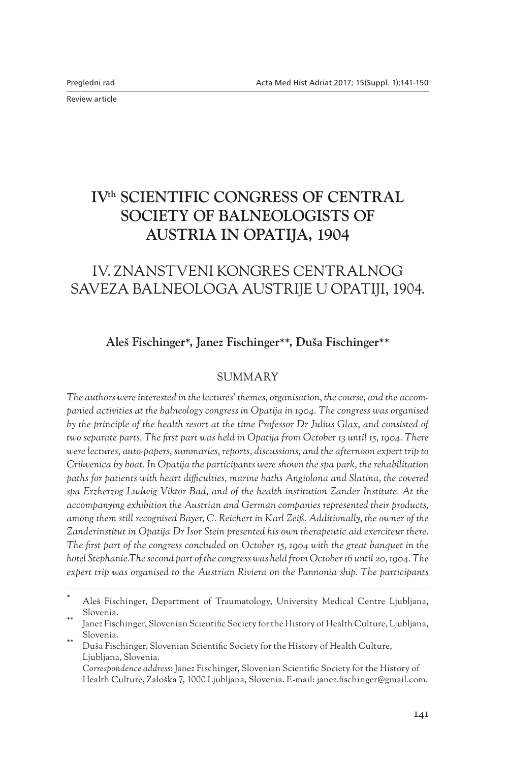Review article

# **IV<sup>th</sup> SCIENTIFIC CONGRESS OF CENTRAL SOCIETY OF BALNEOLOGISTS OF AUSTRIA IN OPATIJA, 1904**

## IV. ZNANSTVENI KONGRES CENTRALNOG SAVEZA BALNEOLOGA AUSTRIJE U OPATIJI, 1904.

#### **Aleš Fischinger**\***, Janez Fischinger**\*\***, Duša Fischinger**\*\*

#### **SUMMARY**

*The authors were interested in the lectures' themes, organisation, the course, and the accompanied activities at the balneology congress in Opatija in 1904. The congress was organised by the principle of the health resort at the time Professor Dr Julius Glax, and consisted of two separate parts. The first part was held in Opatija from October 13 until 15, 1904. There were lectures, auto-papers, summaries, reports, discussions, and the afternoon expert trip to Crikvenica by boat. In Opatija the participants were shown the spa park, the rehabilitation paths for patients with heart difficulties, marine baths Angiolona and Slatina, the covered spa Erzherzog Ludwig Viktor Bad, and of the health institution Zander Institute. At the accompanying exhibition the Austrian and German companies represented their products, among them still recognised Bayer, C. Reichert in Karl Zeiß. Additionally, the owner of the Zanderinstitut in Opatija Dr Isor Stein presented his own therapeutic aid exerciteur there. The first part of the congress concluded on October 15, 1904 with the great banquet in the hotel Stephanie.The second part of the congress was held from October 16 until 20, 1904. The expert trip was organised to the Austrian Riviera on the Pannonia ship. The participants* 

Aleš Fischinger, Department of Traumatology, University Medical Centre Ljubljana, Slovenia.<br>Janez Fischinger, Slovenian Scientific Society for the History of Health Culture, Ljubljana,

Slovenia.<br>Duša Fischinger, Slovenian Scientific Society for the History of Health Culture,

Ljubljana, Slovenia. *Correspondence address:* Janez Fischinger, Slovenian Scientific Society for the History of Health Culture, Zaloška 7, 1000 Ljubljana, Slovenia. E-mail: janez.fischinger@gmail.com.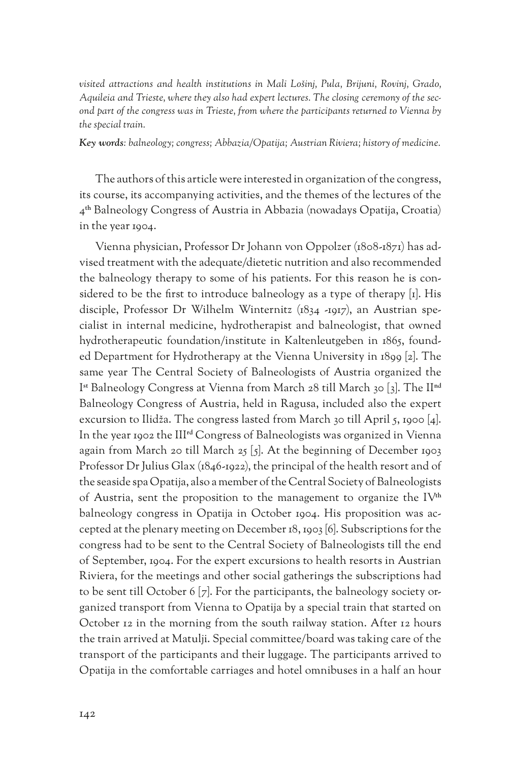*visited attractions and health institutions in Mali Lošinj, Pula, Brijuni, Rovinj, Grado, Aquileia and Trieste, where they also had expert lectures. The closing ceremony of the second part of the congress was in Trieste, from where the participants returned to Vienna by the special train.*

*Key words: balneology; congress; Abbazia/Opatija; Austrian Riviera; history of medicine.*

The authors of this article were interested in organization of the congress, its course, its accompanying activities, and the themes of the lectures of the 4**th** Balneology Congress of Austria in Abbazia (nowadays Opatija, Croatia) in the year 1904.

Vienna physician, Professor Dr Johann von Oppolzer (1808-1871) has advised treatment with the adequate/dietetic nutrition and also recommended the balneology therapy to some of his patients. For this reason he is considered to be the first to introduce balneology as a type of therapy [1]. His disciple, Professor Dr Wilhelm Winternitz (1834 -1917), an Austrian specialist in internal medicine, hydrotherapist and balneologist, that owned hydrotherapeutic foundation/institute in Kaltenleutgeben in 1865, founded Department for Hydrotherapy at the Vienna University in 1899 [2]. The same year The Central Society of Balneologists of Austria organized the I**st** Balneology Congress at Vienna from March 28 till March 30 [3]. The II**nd** Balneology Congress of Austria, held in Ragusa, included also the expert excursion to Ilidža. The congress lasted from March 30 till April 5, 1900 [4]. In the year 1902 the III**rd** Congress of Balneologists was organized in Vienna again from March 20 till March 25  $[5]$ . At the beginning of December 1903 Professor Dr Julius Glax (1846-1922), the principal of the health resort and of the seaside spa Opatija, also a member of the Central Society of Balneologists of Austria, sent the proposition to the management to organize the IV**th** balneology congress in Opatija in October 1904. His proposition was accepted at the plenary meeting on December 18, 1903 [6]. Subscriptions for the congress had to be sent to the Central Society of Balneologists till the end of September, 1904. For the expert excursions to health resorts in Austrian Riviera, for the meetings and other social gatherings the subscriptions had to be sent till October 6 [7]. For the participants, the balneology society organized transport from Vienna to Opatija by a special train that started on October 12 in the morning from the south railway station. After 12 hours the train arrived at Matulji. Special committee/board was taking care of the transport of the participants and their luggage. The participants arrived to Opatija in the comfortable carriages and hotel omnibuses in a half an hour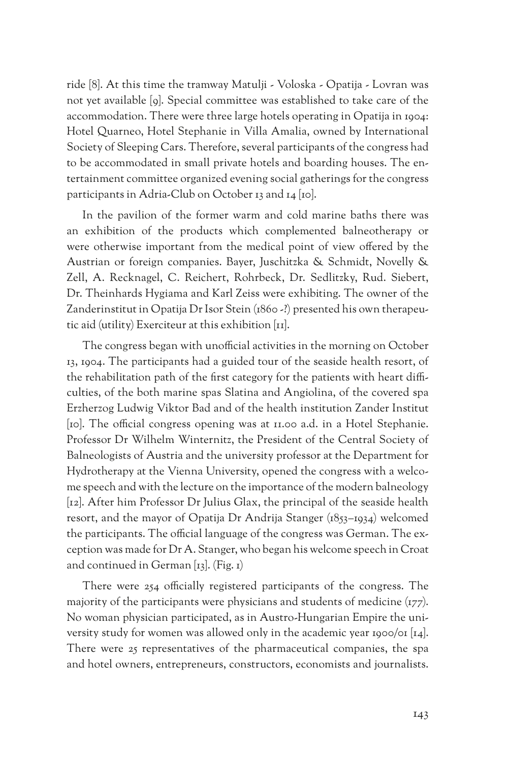ride [8]. At this time the tramway Matulji - Voloska - Opatija - Lovran was not yet available [9]. Special committee was established to take care of the accommodation. There were three large hotels operating in Opatija in 1904: Hotel Quarneo, Hotel Stephanie in Villa Amalia, owned by International Society of Sleeping Cars. Therefore, several participants of the congress had to be accommodated in small private hotels and boarding houses. The entertainment committee organized evening social gatherings for the congress participants in Adria-Club on October 13 and 14 [10].

In the pavilion of the former warm and cold marine baths there was an exhibition of the products which complemented balneotherapy or were otherwise important from the medical point of view offered by the Austrian or foreign companies. Bayer, Juschitzka & Schmidt, Novelly & Zell, A. Recknagel, C. Reichert, Rohrbeck, Dr. Sedlitzky, Rud. Siebert, Dr. Theinhards Hygiama and Karl Zeiss were exhibiting. The owner of the Zanderinstitut in Opatija Dr Isor Stein (1860 -?) presented his own therapeutic aid (utility) Exerciteur at this exhibition [11].

The congress began with unofficial activities in the morning on October 13, 1904. The participants had a guided tour of the seaside health resort, of the rehabilitation path of the first category for the patients with heart difficulties, of the both marine spas Slatina and Angiolina, of the covered spa Erzherzog Ludwig Viktor Bad and of the health institution Zander Institut [10]. The official congress opening was at 11.00 a.d. in a Hotel Stephanie. Professor Dr Wilhelm Winternitz, the President of the Central Society of Balneologists of Austria and the university professor at the Department for Hydrotherapy at the Vienna University, opened the congress with a welcome speech and with the lecture on the importance of the modern balneology [12]. After him Professor Dr Julius Glax, the principal of the seaside health resort, and the mayor of Opatija Dr Andrija Stanger (1853–1934) welcomed the participants. The official language of the congress was German. The exception was made for Dr A. Stanger, who began his welcome speech in Croat and continued in German  $[x_3]$ . (Fig. 1)

There were 254 officially registered participants of the congress. The majority of the participants were physicians and students of medicine (177). No woman physician participated, as in Austro-Hungarian Empire the university study for women was allowed only in the academic year 1900/01  $\lceil 14 \rceil$ . There were 25 representatives of the pharmaceutical companies, the spa and hotel owners, entrepreneurs, constructors, economists and journalists.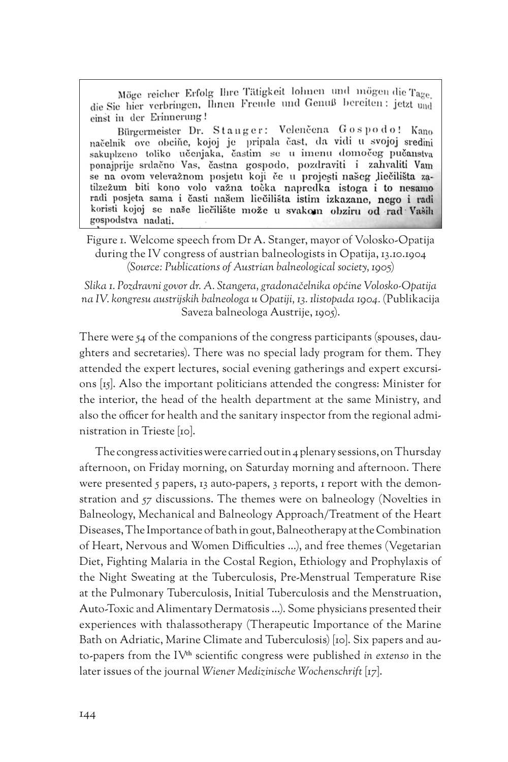Möge reicher Erfolg Ihre Tätigkeit lohnen und mögen die Tage. die Sie hier verbringen, Ihnen Freude und Genuß bereiten: jetzt und einst in der Erinnerung!

Bürgermeister Dr. Stanger: Velenčena Gospodo! Kano načelnik ove obciňe, kojoj je pripala čast, da vidi u svojoj sredini sakuplzeno toliko učenjaka, častim se u imenu domočeg pučanstva ponajprije srdačno Vas, častna gospodo, pozdraviti i zahvaliti Vam se na ovom velevažnom posjetu koji če u projesti našeg liečilišta zatilzežum biti kono volo važna točka napredka istoga i to nesamo radi posjeta sama i časti našem liečilišta istim izkazane, nego i radi koristi kojoj se naše liečilište može u svakom obziru od rad Vaših gospodstva nadati.

Figure 1. Welcome speech from Dr A. Stanger, mayor of Volosko-Opatija during the IV congress of austrian balneologists in Opatija, 13.10.1904 (*Source: Publications of Austrian balneological society, 1905*)

*Slika 1. Pozdravni govor dr. A. Stangera, gradonačelnika općine Volosko-Opatija na IV. kongresu austrijskih balneologa u Opatiji, 13. 1listopada 1904.* (Publikacija Saveza balneologa Austrije, 1905).

There were 54 of the companions of the congress participants (spouses, daughters and secretaries). There was no special lady program for them. They attended the expert lectures, social evening gatherings and expert excursions [15]. Also the important politicians attended the congress: Minister for the interior, the head of the health department at the same Ministry, and also the officer for health and the sanitary inspector from the regional administration in Trieste [10].

The congress activities were carried out in 4 plenary sessions, on Thursday afternoon, on Friday morning, on Saturday morning and afternoon. There were presented 5 papers, 13 auto-papers, 3 reports, 1 report with the demonstration and 57 discussions. The themes were on balneology (Novelties in Balneology, Mechanical and Balneology Approach/Treatment of the Heart Diseases, The Importance of bath in gout, Balneotherapy at the Combination of Heart, Nervous and Women Difficulties …), and free themes (Vegetarian Diet, Fighting Malaria in the Costal Region, Ethiology and Prophylaxis of the Night Sweating at the Tuberculosis, Pre-Menstrual Temperature Rise at the Pulmonary Tuberculosis, Initial Tuberculosis and the Menstruation, Auto-Toxic and Alimentary Dermatosis …). Some physicians presented their experiences with thalassotherapy (Therapeutic Importance of the Marine Bath on Adriatic, Marine Climate and Tuberculosis) [10]. Six papers and auto-papers from the IV**th** scientific congress were published *in extenso* in the later issues of the journal *Wiener Medizinische Wochenschrift* [17].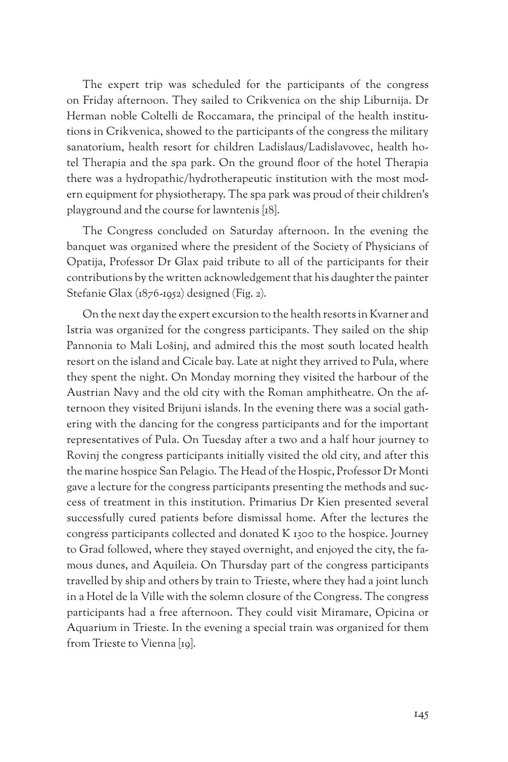The expert trip was scheduled for the participants of the congress on Friday afternoon. They sailed to Crikvenica on the ship Liburnija. Dr Herman noble Coltelli de Roccamara, the principal of the health institutions in Crikvenica, showed to the participants of the congress the military sanatorium, health resort for children Ladislaus/Ladislavovec, health hotel Therapia and the spa park. On the ground floor of the hotel Therapia there was a hydropathic/hydrotherapeutic institution with the most modern equipment for physiotherapy. The spa park was proud of their children's playground and the course for lawntenis [18].

The Congress concluded on Saturday afternoon. In the evening the banquet was organized where the president of the Society of Physicians of Opatija, Professor Dr Glax paid tribute to all of the participants for their contributions by the written acknowledgement that his daughter the painter Stefanie Glax (1876-1952) designed (Fig. 2).

On the next day the expert excursion to the health resorts in Kvarner and Istria was organized for the congress participants. They sailed on the ship Pannonia to Mali Lošinj, and admired this the most south located health resort on the island and Cicale bay. Late at night they arrived to Pula, where they spent the night. On Monday morning they visited the harbour of the Austrian Navy and the old city with the Roman amphitheatre. On the afternoon they visited Brijuni islands. In the evening there was a social gathering with the dancing for the congress participants and for the important representatives of Pula. On Tuesday after a two and a half hour journey to Rovinj the congress participants initially visited the old city, and after this the marine hospice San Pelagio. The Head of the Hospic, Professor Dr Monti gave a lecture for the congress participants presenting the methods and success of treatment in this institution. Primarius Dr Kien presented several successfully cured patients before dismissal home. After the lectures the congress participants collected and donated K 1300 to the hospice. Journey to Grad followed, where they stayed overnight, and enjoyed the city, the famous dunes, and Aquileia. On Thursday part of the congress participants travelled by ship and others by train to Trieste, where they had a joint lunch in a Hotel de la Ville with the solemn closure of the Congress. The congress participants had a free afternoon. They could visit Miramare, Opicina or Aquarium in Trieste. In the evening a special train was organized for them from Trieste to Vienna [19].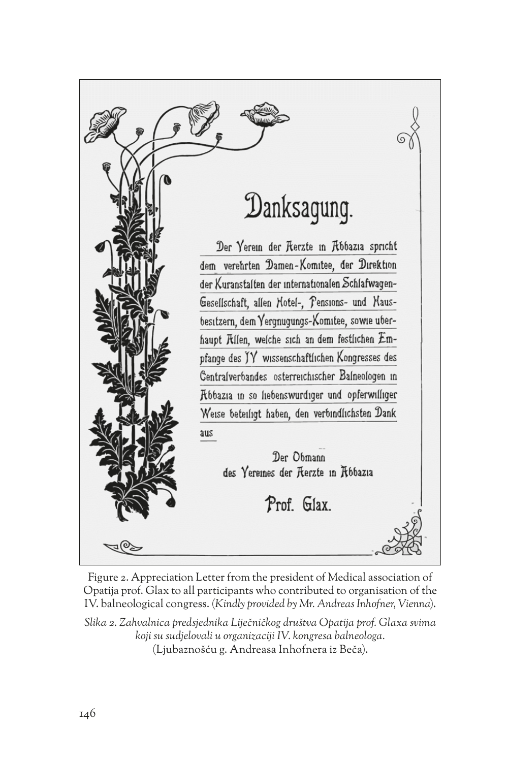Danksagung. Der Yerem der Rerzte in Rbbazia spricht dem verehrten Damen-Komitee, der Direktion der Kuranstalten der internationalen Schlafwagen-Gesellschaft, allen Hotel-, Pensions- und Hausbesitzern, dem Yergnugungs-Komitee, sowie uberhaupt Rilen, welche sich an dem festlichen Empfange des JY wissenschaftlichen Kongresses des Centralverbandes osterreichischer Balneologen in Robazia in so liebenswurdiger und opferwilliger Weise beteiligt haben, den verbindlichsten Dank aus Der Obmann des Yereines der Rerzte in R66azia Prof. Glax.

Figure 2. Appreciation Letter from the president of Medical association of Opatija prof. Glax to all participants who contributed to organisation of the IV. balneological congress. (*Kindly provided by Mr. Andreas Inhofner, Vienna*).

*Slika 2. Zahvalnica predsjednika Liječničkog društva Opatija prof. Glaxa svima koji su sudjelovali u organizaciji IV. kongresa balneologa.* (Ljubaznošću g. Andreasa Inhofnera iz Beča).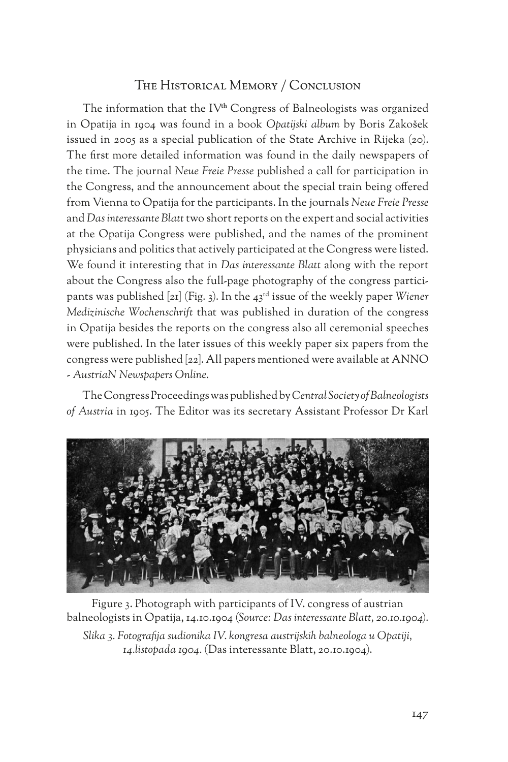## The Historical Memory / Conclusion

The information that the IV**th** Congress of Balneologists was organized in Opatija in 1904 was found in a book *Opatijski album* by Boris Zakošek issued in 2005 as a special publication of the State Archive in Rijeka (20). The first more detailed information was found in the daily newspapers of the time. The journal *Neue Freie Presse* published a call for participation in the Congress, and the announcement about the special train being offered from Vienna to Opatija for the participants. In the journals *Neue Freie Presse* and *Das interessante Blatt* two short reports on the expert and social activities at the Opatija Congress were published, and the names of the prominent physicians and politics that actively participated at the Congress were listed. We found it interesting that in *Das interessante Blatt* along with the report about the Congress also the full-page photography of the congress participants was published [21] (Fig. 3). In the 43rd issue of the weekly paper *Wiener Medizinische Wochenschrift* that was published in duration of the congress in Opatija besides the reports on the congress also all ceremonial speeches were published. In the later issues of this weekly paper six papers from the congress were published [22]. All papers mentioned were available at ANNO - *AustriaN Newspapers Online.*

The Congress Proceedings was published by *Central Society of Balneologists of Austria* in 1905. The Editor was its secretary Assistant Professor Dr Karl



Figure 3. Photograph with participants of IV. congress of austrian balneologists in Opatija, 14.10.1904 (*Source: Das interessante Blatt, 20.10.1904*).

*Slika 3. Fotografija sudionika IV. kongresa austrijskih balneologa u Opatiji, 14.listopada 1904.* (Das interessante Blatt, 20.10.1904).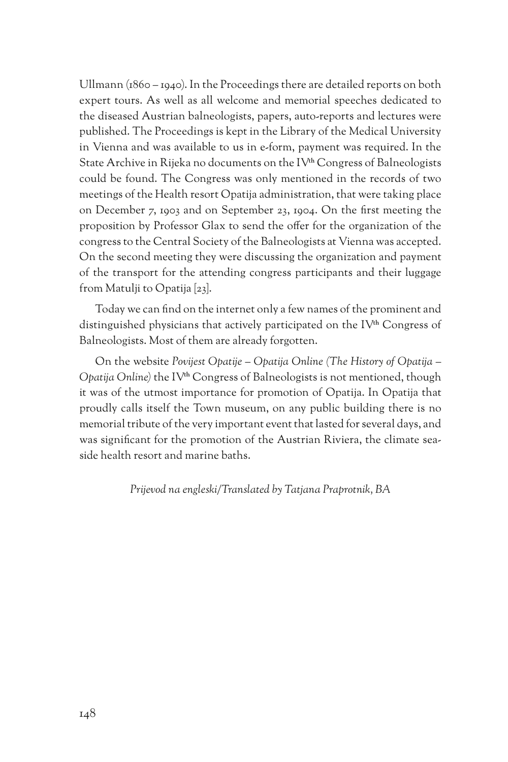Ullmann (1860 – 1940). In the Proceedings there are detailed reports on both expert tours. As well as all welcome and memorial speeches dedicated to the diseased Austrian balneologists, papers, auto-reports and lectures were published. The Proceedings is kept in the Library of the Medical University in Vienna and was available to us in e-form, payment was required. In the State Archive in Rijeka no documents on the IV**th** Congress of Balneologists could be found. The Congress was only mentioned in the records of two meetings of the Health resort Opatija administration, that were taking place on December 7, 1903 and on September 23, 1904. On the first meeting the proposition by Professor Glax to send the offer for the organization of the congress to the Central Society of the Balneologists at Vienna was accepted. On the second meeting they were discussing the organization and payment of the transport for the attending congress participants and their luggage from Matulji to Opatija [23].

Today we can find on the internet only a few names of the prominent and distinguished physicians that actively participated on the IV**th** Congress of Balneologists. Most of them are already forgotten.

On the website *Povijest Opatije – Opatija Online (The History of Opatija – Opatija Online)* the IV**th** Congress of Balneologists is not mentioned, though it was of the utmost importance for promotion of Opatija. In Opatija that proudly calls itself the Town museum, on any public building there is no memorial tribute of the very important event that lasted for several days, and was significant for the promotion of the Austrian Riviera, the climate seaside health resort and marine baths.

*Prijevod na engleski/Translated by Tatjana Praprotnik, BA*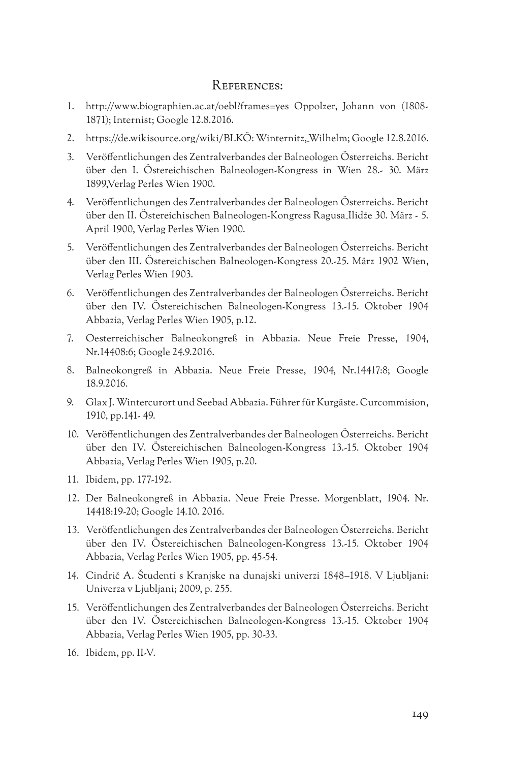#### References:

- 1. http://www.biographien.ac.at/oebl?frames=yes Oppolzer, Johann von (1808- 1871); Internist; Google 12.8.2016.
- 2. https://de.wikisource.org/wiki/BLKÖ: Winternitz,\_Wilhelm; Google 12.8.2016.
- 3. Veröffentlichungen des Zentralverbandes der Balneologen Österreichs. Bericht über den I. Östereichischen Balneologen-Kongress in Wien 28.- 30. März 1899,Verlag Perles Wien 1900.
- 4. Veröffentlichungen des Zentralverbandes der Balneologen Österreichs. Bericht über den II. Östereichischen Balneologen-Kongress Ragusa\_Ilidže 30. März - 5. April 1900, Verlag Perles Wien 1900.
- 5. Veröffentlichungen des Zentralverbandes der Balneologen Österreichs. Bericht über den III. Östereichischen Balneologen-Kongress 20.-25. März 1902 Wien, Verlag Perles Wien 1903.
- 6. Veröffentlichungen des Zentralverbandes der Balneologen Österreichs. Bericht über den IV. Östereichischen Balneologen-Kongress 13.-15. Oktober 1904 Abbazia, Verlag Perles Wien 1905, p.12.
- 7. Oesterreichischer Balneokongreß in Abbazia. Neue Freie Presse, 1904, Nr.14408:6; Google 24.9.2016.
- 8. Balneokongreß in Abbazia. Neue Freie Presse, 1904, Nr.14417:8; Google 18.9.2016.
- 9. Glax J. Wintercurort und Seebad Abbazia. Führer für Kurgäste. Curcommision, 1910, pp.141- 49.
- 10. Veröffentlichungen des Zentralverbandes der Balneologen Österreichs. Bericht über den IV. Östereichischen Balneologen-Kongress 13.-15. Oktober 1904 Abbazia, Verlag Perles Wien 1905, p.20.
- 11. Ibidem, pp. 177-192.
- 12. Der Balneokongreß in Abbazia. Neue Freie Presse. Morgenblatt, 1904. Nr. 14418:19-20; Google 14.10. 2016.
- 13. Veröffentlichungen des Zentralverbandes der Balneologen Österreichs. Bericht über den IV. Östereichischen Balneologen-Kongress 13.-15. Oktober 1904 Abbazia, Verlag Perles Wien 1905, pp. 45-54.
- 14. Cindrič A. Študenti s Kranjske na dunajski univerzi 1848–1918. V Ljubljani: Univerza v Ljubljani; 2009, p. 255.
- 15. Veröffentlichungen des Zentralverbandes der Balneologen Österreichs. Bericht über den IV. Östereichischen Balneologen-Kongress 13.-15. Oktober 1904 Abbazia, Verlag Perles Wien 1905, pp. 30-33.
- 16. Ibidem, pp. II-V.